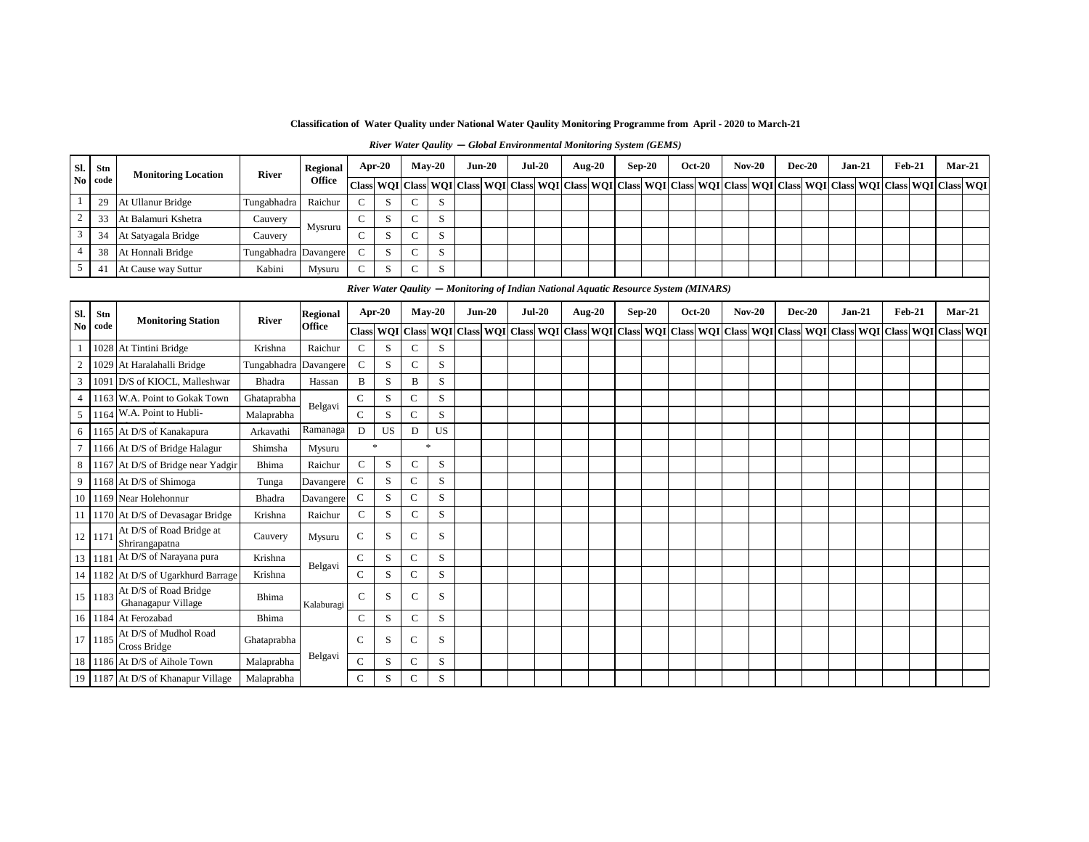**Classification of Water Quality under National Water Qaulity Monitoring Programme from April - 2020 to March-21**

| Sl.                   | Stn         | <b>Monitoring Location</b>                  | River       | <b>Regional</b>           |               | Apr-20      |              | $May-20$                                                                             | $Jun-20$ | <b>Jul-20</b> | <b>Aug-20</b> |                                | $Sep-20$ | <b>Oct-20</b> | $Nov-20$ | <b>Dec-20</b> | Jan-21   |  | $Feb-21$ |                                                                     | Mar-21   |
|-----------------------|-------------|---------------------------------------------|-------------|---------------------------|---------------|-------------|--------------|--------------------------------------------------------------------------------------|----------|---------------|---------------|--------------------------------|----------|---------------|----------|---------------|----------|--|----------|---------------------------------------------------------------------|----------|
| N <sub>o</sub>        | code        |                                             |             | <b>Office</b>             | <b>Class</b>  |             |              | WQI Class WQI Class WQI Class WQI Class                                              |          |               |               | <b>WOI</b> Class WOI Class WOI |          |               |          |               |          |  |          | Class   WOI   Class   WOI   Class   WOI   Class   WOI   Class   WOI |          |
| -1                    | 29          | At Ullanur Bridge                           | Tungabhadra | Raichur                   | $\mathsf{C}$  | S           | C            | S                                                                                    |          |               |               |                                |          |               |          |               |          |  |          |                                                                     |          |
| $\sqrt{2}$            | 33          | At Balamuri Kshetra                         | Cauvery     | Mysruru                   | $\mathsf{C}$  | S           | $\mathbf C$  | S                                                                                    |          |               |               |                                |          |               |          |               |          |  |          |                                                                     |          |
| 3                     | 34          | At Satyagala Bridge                         | Cauvery     |                           | $\mathsf{C}$  | S           | $\mathbf C$  | S                                                                                    |          |               |               |                                |          |               |          |               |          |  |          |                                                                     |          |
| $\overline{4}$        | 38          | At Honnali Bridge                           | Tungabhadra | Davangere                 | $\mathsf{C}$  | S           | $\mathbf C$  | S                                                                                    |          |               |               |                                |          |               |          |               |          |  |          |                                                                     |          |
| $\sqrt{5}$            | 41          | At Cause way Suttur                         | Kabini      | Mysuru                    | $\mathsf{C}$  | S           | $\mathsf{C}$ | S                                                                                    |          |               |               |                                |          |               |          |               |          |  |          |                                                                     |          |
|                       |             |                                             |             |                           |               |             |              | River Water Qaulity - Monitoring of Indian National Aquatic Resource System (MINARS) |          |               |               |                                |          |               |          |               |          |  |          |                                                                     |          |
|                       |             |                                             |             |                           |               | Apr-20      |              | $May-20$                                                                             | $Jun-20$ | $Jul-20$      | <b>Aug-20</b> |                                | $Sep-20$ | <b>Oct-20</b> | $Nov-20$ | <b>Dec-20</b> | $Jan-21$ |  | $Feb-21$ |                                                                     | $Mar-21$ |
| Sl.<br>N <sub>0</sub> | Stn<br>code | <b>Monitoring Station</b>                   | River       | <b>Regional</b><br>Office |               |             |              | Class WQI Class WQI Class WQI Class WQI Class WQI Class WQI Class WQI Class WQI      |          |               |               |                                |          |               |          |               |          |  |          | Class WQI Class WQI Class WQI Class WQI Class WQI                   |          |
|                       |             | 1028 At Tintini Bridge                      | Krishna     | Raichur                   | $\mathbf C$   | S           | $\mathsf{C}$ | S                                                                                    |          |               |               |                                |          |               |          |               |          |  |          |                                                                     |          |
| $\boldsymbol{2}$      |             | 1029 At Haralahalli Bridge                  | Tungabhadra | Davangere                 | $\mathsf{C}$  | S           | $\mathbf C$  | S                                                                                    |          |               |               |                                |          |               |          |               |          |  |          |                                                                     |          |
| 3                     | 1091        | D/S of KIOCL, Malleshwar                    | Bhadra      | Hassan                    | B             | S           | B            | S                                                                                    |          |               |               |                                |          |               |          |               |          |  |          |                                                                     |          |
| $\overline{4}$        |             | 1163 W.A. Point to Gokak Town               | Ghataprabha |                           | $\mathbf C$   | S           | $\mathsf C$  | S                                                                                    |          |               |               |                                |          |               |          |               |          |  |          |                                                                     |          |
| 5                     |             | 1164 W.A. Point to Hubli-                   | Malaprabha  | Belgavi                   | $\mathcal{C}$ | S           | $\mathsf{C}$ | S                                                                                    |          |               |               |                                |          |               |          |               |          |  |          |                                                                     |          |
| 6                     |             | 1165 At D/S of Kanakapura                   | Arkavathi   | Ramanaga                  | D             | US          | D            | US                                                                                   |          |               |               |                                |          |               |          |               |          |  |          |                                                                     |          |
| $7\phantom{.0}$       |             | 1166 At D/S of Bridge Halagur               | Shimsha     | Mysuru                    |               | $\ast$      |              | sk.                                                                                  |          |               |               |                                |          |               |          |               |          |  |          |                                                                     |          |
| $\,8\,$               |             | 1167 At D/S of Bridge near Yadgir           | Bhima       | Raichur                   | $\mathbf C$   | $\mathbf S$ | $\mathsf{C}$ | $\,$ S                                                                               |          |               |               |                                |          |               |          |               |          |  |          |                                                                     |          |
| 9                     |             | 1168 At D/S of Shimoga                      | Tunga       | Davangere                 | $\mathbf C$   | S           | $\mathbf C$  | S                                                                                    |          |               |               |                                |          |               |          |               |          |  |          |                                                                     |          |
| 10                    |             | 1169 Near Holehonnur                        | Bhadra      | Davangere                 | $\mathbf C$   | S           | $\mathbf C$  | S                                                                                    |          |               |               |                                |          |               |          |               |          |  |          |                                                                     |          |
| 11                    |             | 1170 At D/S of Devasagar Bridge             | Krishna     | Raichur                   | $\mathsf{C}$  | S           | $\mathsf{C}$ | S                                                                                    |          |               |               |                                |          |               |          |               |          |  |          |                                                                     |          |
| 12                    | 1171        | At D/S of Road Bridge at<br>Shrirangapatna  | Cauvery     | Mysuru                    | $\mathbf C$   | S           | $\mathsf{C}$ | S                                                                                    |          |               |               |                                |          |               |          |               |          |  |          |                                                                     |          |
| 13                    |             | 1181 At D/S of Narayana pura                | Krishna     | Belgavi                   | $\mathsf{C}$  | S           | $\mathsf{C}$ | S                                                                                    |          |               |               |                                |          |               |          |               |          |  |          |                                                                     |          |
| 14                    |             | 1182 At D/S of Ugarkhurd Barrage            | Krishna     |                           | $\mathbf C$   | S           | $\mathsf C$  | S                                                                                    |          |               |               |                                |          |               |          |               |          |  |          |                                                                     |          |
| 15                    | 1183        | At D/S of Road Bridge<br>Ghanagapur Village | Bhima       | Kalaburagi                | $\mathsf{C}$  | S           | C            | S                                                                                    |          |               |               |                                |          |               |          |               |          |  |          |                                                                     |          |
| 16                    |             | 1184 At Ferozabad                           | Bhima       |                           | $\mathsf{C}$  | S           | $\mathsf{C}$ | S                                                                                    |          |               |               |                                |          |               |          |               |          |  |          |                                                                     |          |
| 17                    | 1185        | At D/S of Mudhol Road<br>Cross Bridge       | Ghataprabha |                           | $\mathcal{C}$ | S           | $\mathsf{C}$ | S                                                                                    |          |               |               |                                |          |               |          |               |          |  |          |                                                                     |          |
| 18                    |             | 1186 At D/S of Aihole Town                  | Malaprabha  | Belgavi                   | $\mathsf{C}$  | S           | $\mathsf{C}$ | S                                                                                    |          |               |               |                                |          |               |          |               |          |  |          |                                                                     |          |
| 19                    |             | 1187 At D/S of Khanapur Village             | Malaprabha  |                           | $\mathcal{C}$ | S           | $\mathsf{C}$ | S                                                                                    |          |               |               |                                |          |               |          |               |          |  |          |                                                                     |          |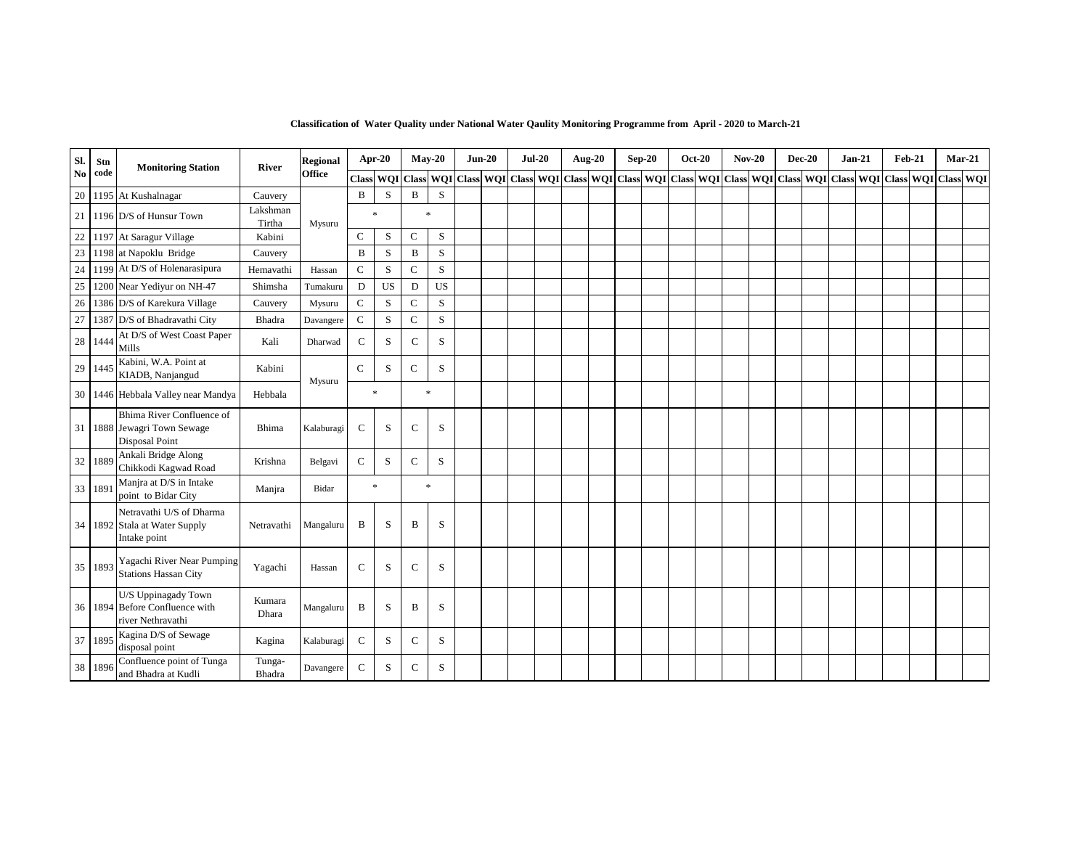| SI.            | Stn     | <b>Monitoring Station</b>                                                         | River              | <b>Regional</b> |               | Apr-20    |                        | $May-20$  | $Jun-20$ | <b>Jul-20</b> | Aug-20 | $Sep-20$ | <b>Oct-20</b>                                                                                                                     | $Nov-20$ | <b>Dec-20</b> | $Jan-21$ | <b>Feb-21</b> |                  | $Mar-21$ |
|----------------|---------|-----------------------------------------------------------------------------------|--------------------|-----------------|---------------|-----------|------------------------|-----------|----------|---------------|--------|----------|-----------------------------------------------------------------------------------------------------------------------------------|----------|---------------|----------|---------------|------------------|----------|
| N <sub>o</sub> | code    |                                                                                   |                    | <b>Office</b>   |               |           | <b>Class WQI</b> Class |           |          |               |        |          | WQI   Class   WQI   Class   WQI   Class   WQI   Class   WQI   Class   WQI   Class   WQI   Class   WQI   Class   WQI   Class   WQI |          |               |          |               | <b>Class WQI</b> |          |
| 20             |         | 1195 At Kushalnagar                                                               | Cauvery            |                 | B             | S         | B                      | S         |          |               |        |          |                                                                                                                                   |          |               |          |               |                  |          |
| 21             |         | 1196 D/S of Hunsur Town                                                           | Lakshman<br>Tirtha | Mysuru          |               | $\gg$     |                        | $\ast$    |          |               |        |          |                                                                                                                                   |          |               |          |               |                  |          |
| 22             | 1197    | At Saragur Village                                                                | Kabini             |                 | $\mathsf{C}$  | S         | $\mathsf{C}$           | S         |          |               |        |          |                                                                                                                                   |          |               |          |               |                  |          |
| 23             | 1198    | at Napoklu Bridge                                                                 | Cauvery            |                 | $\bf{B}$      | S         | $\, {\bf B}$           | S         |          |               |        |          |                                                                                                                                   |          |               |          |               |                  |          |
| 24             | 1199    | At D/S of Holenarasipura                                                          | Hemavathi          | Hassan          | $\mathcal{C}$ | S         | $\mathsf{C}$           | S         |          |               |        |          |                                                                                                                                   |          |               |          |               |                  |          |
| 25             |         | 1200 Near Yediyur on NH-47                                                        | Shimsha            | Tumakuru        | D             | <b>US</b> | D                      | <b>US</b> |          |               |        |          |                                                                                                                                   |          |               |          |               |                  |          |
| 26             |         | 1386 D/S of Karekura Village                                                      | Cauvery            | Mysuru          | $\mathbf C$   | S         | $\mathbf C$            | S         |          |               |        |          |                                                                                                                                   |          |               |          |               |                  |          |
| 27             |         | 1387 D/S of Bhadravathi City                                                      | Bhadra             | Davangere       | $\mathsf C$   | S         | $\mathsf C$            | S         |          |               |        |          |                                                                                                                                   |          |               |          |               |                  |          |
|                | 28 1444 | At D/S of West Coast Paper<br>Mills                                               | Kali               | Dharwad         | $\mathsf{C}$  | S         | $\mathsf{C}$           | S         |          |               |        |          |                                                                                                                                   |          |               |          |               |                  |          |
| 29             | 1445    | Kabini, W.A. Point at<br>KIADB, Nanjangud                                         | Kabini             | Mysuru          | $\mathbf C$   | S         | $\mathbf C$            | $\,$ S    |          |               |        |          |                                                                                                                                   |          |               |          |               |                  |          |
| 30             |         | 1446 Hebbala Valley near Mandya                                                   | Hebbala            |                 |               | $\gg$     |                        | $\ast$    |          |               |        |          |                                                                                                                                   |          |               |          |               |                  |          |
|                |         | Bhima River Confluence of<br>31 1888 Jewagri Town Sewage<br><b>Disposal Point</b> | Bhima              | Kalaburagi      | $\mathsf{C}$  | S         | $\mathbf C$            | $\,$ S    |          |               |        |          |                                                                                                                                   |          |               |          |               |                  |          |
| $32\,$         | 1889    | Ankali Bridge Along<br>Chikkodi Kagwad Road                                       | Krishna            | Belgavi         | $\mathsf{C}$  | S         | $\mathsf{C}$           | S         |          |               |        |          |                                                                                                                                   |          |               |          |               |                  |          |
|                | 33 189  | Manjra at D/S in Intake<br>point to Bidar City                                    | Manjra             | Bidar           |               | $\ast$    |                        | $\ast$    |          |               |        |          |                                                                                                                                   |          |               |          |               |                  |          |
|                |         | Netravathi U/S of Dharma<br>34 1892 Stala at Water Supply<br>Intake point         | Netravathi         | Mangaluru       | B             | S         | B                      | S         |          |               |        |          |                                                                                                                                   |          |               |          |               |                  |          |
| 35             | 1893    | Yagachi River Near Pumping<br><b>Stations Hassan City</b>                         | Yagachi            | Hassan          | $\mathsf{C}$  | S         | $\mathsf{C}$           | S         |          |               |        |          |                                                                                                                                   |          |               |          |               |                  |          |
|                |         | U/S Uppinagady Town<br>36 1894 Before Confluence with<br>river Nethravathi        | Kumara<br>Dhara    | Mangaluru       | B             | S         | B                      | S         |          |               |        |          |                                                                                                                                   |          |               |          |               |                  |          |
|                | 37 1895 | Kagina D/S of Sewage<br>disposal point                                            | Kagina             | Kalaburagi      | $\mathsf{C}$  | S         | C                      | S         |          |               |        |          |                                                                                                                                   |          |               |          |               |                  |          |
|                | 38 1896 | Confluence point of Tunga<br>and Bhadra at Kudli                                  | Tunga-<br>Bhadra   | Davangere       | $\mathsf{C}$  | S         | $\mathsf{C}$           | S         |          |               |        |          |                                                                                                                                   |          |               |          |               |                  |          |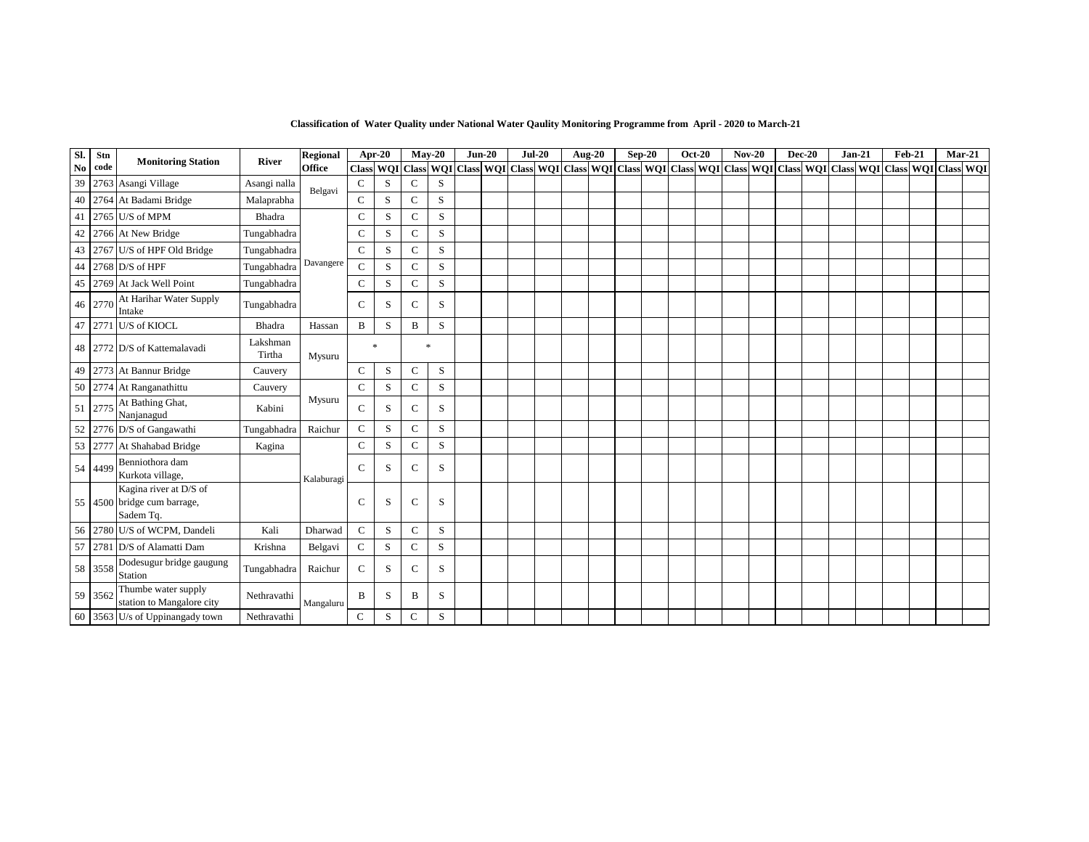| Sl.           | Stn  |                                                                    |                    | <b>Regional</b> |              | Apr-20      |               | $Mav-20$                                                                                                                                                   | $Jun-20$ | $Jul-20$ | <b>Aug-20</b> |  | $Sep-20$ | $Oct-20$ | $Nov-20$ | $Dec-20$ | $Jan-21$ | <b>Feb-21</b> | $Mar-21$ |  |
|---------------|------|--------------------------------------------------------------------|--------------------|-----------------|--------------|-------------|---------------|------------------------------------------------------------------------------------------------------------------------------------------------------------|----------|----------|---------------|--|----------|----------|----------|----------|----------|---------------|----------|--|
| $\mathbf{No}$ | code | <b>Monitoring Station</b>                                          | River              | <b>Office</b>   |              |             |               | Class  WQI  Class  WQI  Class  WQI  Class  WQI  Class  WQI  Class  WQI  Class  WQI  Class  WQI  Class  WQI  Class  WQI  Class  WQI  Class  WQI  Class  WQI |          |          |               |  |          |          |          |          |          |               |          |  |
| 39            |      | 2763 Asangi Village                                                | Asangi nalla       | Belgavi         | $\mathsf{C}$ | S           | $\mathsf{C}$  | S                                                                                                                                                          |          |          |               |  |          |          |          |          |          |               |          |  |
| 40            |      | 2764 At Badami Bridge                                              | Malaprabha         |                 | $\mathsf{C}$ | S           | $\mathsf{C}$  | S                                                                                                                                                          |          |          |               |  |          |          |          |          |          |               |          |  |
| 41            |      | 2765 U/S of MPM                                                    | Bhadra             |                 | $\mathsf{C}$ | S           | $\mathbf C$   | ${\bf S}$                                                                                                                                                  |          |          |               |  |          |          |          |          |          |               |          |  |
| 42            |      | 2766 At New Bridge                                                 | Tungabhadra        |                 | $\mathsf{C}$ | S           | $\mathsf{C}$  | S                                                                                                                                                          |          |          |               |  |          |          |          |          |          |               |          |  |
| 43            |      | 2767 U/S of HPF Old Bridge                                         | Tungabhadra        |                 | $\mathsf{C}$ | S           | $\mathsf{C}$  | S                                                                                                                                                          |          |          |               |  |          |          |          |          |          |               |          |  |
| 44            |      | 2768 $D/S$ of HPF                                                  | Tungabhadra        | Davangere       | $\mathsf{C}$ | S           | $\mathsf{C}$  | S                                                                                                                                                          |          |          |               |  |          |          |          |          |          |               |          |  |
| 45            |      | 2769 At Jack Well Point                                            | Tungabhadra        |                 | $\mathsf{C}$ | S           | $\mathbf C$   | S                                                                                                                                                          |          |          |               |  |          |          |          |          |          |               |          |  |
| 46            | 2770 | At Harihar Water Supply<br>Intake                                  | Tungabhadra        |                 | C            | S           | C             | S                                                                                                                                                          |          |          |               |  |          |          |          |          |          |               |          |  |
| 47            |      | 2771 U/S of KIOCL                                                  | Bhadra             | Hassan          | $\, {\bf B}$ | S           | B             | S                                                                                                                                                          |          |          |               |  |          |          |          |          |          |               |          |  |
|               |      | 48 2772 D/S of Kattemalavadi                                       | Lakshman<br>Tirtha | Mysuru          |              | $\ast$      |               | $\ast$                                                                                                                                                     |          |          |               |  |          |          |          |          |          |               |          |  |
| 49            |      | 2773 At Bannur Bridge                                              | Cauvery            |                 | $\mathbf C$  | S           | $\mathsf{C}$  | S                                                                                                                                                          |          |          |               |  |          |          |          |          |          |               |          |  |
| 50            |      | 2774 At Ranganathittu                                              | Cauvery            |                 | $\mathbf C$  | $\mathbf S$ | $\mathbf C$   | S                                                                                                                                                          |          |          |               |  |          |          |          |          |          |               |          |  |
| 51            | 2775 | At Bathing Ghat,<br>Nanjanagud                                     | Kabini             | Mysuru          | $\mathsf{C}$ | S           | C             | S                                                                                                                                                          |          |          |               |  |          |          |          |          |          |               |          |  |
| 52            |      | 2776 D/S of Gangawathi                                             | Tungabhadra        | Raichur         | $\mathsf{C}$ | S           | $\mathsf{C}$  | S                                                                                                                                                          |          |          |               |  |          |          |          |          |          |               |          |  |
| 53            | 2777 | At Shahabad Bridge                                                 | Kagina             |                 | $\mathsf{C}$ | S           | $\mathsf{C}$  | ${\bf S}$                                                                                                                                                  |          |          |               |  |          |          |          |          |          |               |          |  |
| 54            | 4499 | Benniothora dam<br>Kurkota village,                                |                    | Kalaburagi      | $\mathbf C$  | S           | $\mathcal{C}$ | S                                                                                                                                                          |          |          |               |  |          |          |          |          |          |               |          |  |
|               |      | Kagina river at D/S of<br>55 4500 bridge cum barrage,<br>Sadem Tq. |                    |                 | $\mathsf{C}$ | S           | $\mathbf C$   | S                                                                                                                                                          |          |          |               |  |          |          |          |          |          |               |          |  |
| 56            |      | 2780 U/S of WCPM, Dandeli                                          | Kali               | Dharwad         | $\mathsf{C}$ | S           | $\mathsf{C}$  | S                                                                                                                                                          |          |          |               |  |          |          |          |          |          |               |          |  |
| 57            |      | 2781 D/S of Alamatti Dam                                           | Krishna            | Belgavi         | $\mathbf C$  | S           | $\mathsf{C}$  | S                                                                                                                                                          |          |          |               |  |          |          |          |          |          |               |          |  |
| 58            | 3558 | Dodesugur bridge gaugung<br><b>Station</b>                         | Tungabhadra        | Raichur         | $\mathsf{C}$ | S           | $\mathcal{C}$ | S                                                                                                                                                          |          |          |               |  |          |          |          |          |          |               |          |  |
| 59            | 3562 | Thumbe water supply<br>station to Mangalore city                   | Nethravathi        | Mangaluru       | B            | S           | B             | S                                                                                                                                                          |          |          |               |  |          |          |          |          |          |               |          |  |
|               |      | 60 3563 U/s of Uppinangady town                                    | Nethravathi        |                 | $\mathbf C$  | S           | $\mathsf{C}$  | S                                                                                                                                                          |          |          |               |  |          |          |          |          |          |               |          |  |

**Classification of Water Quality under National Water Qaulity Monitoring Programme from April - 2020 to March-21**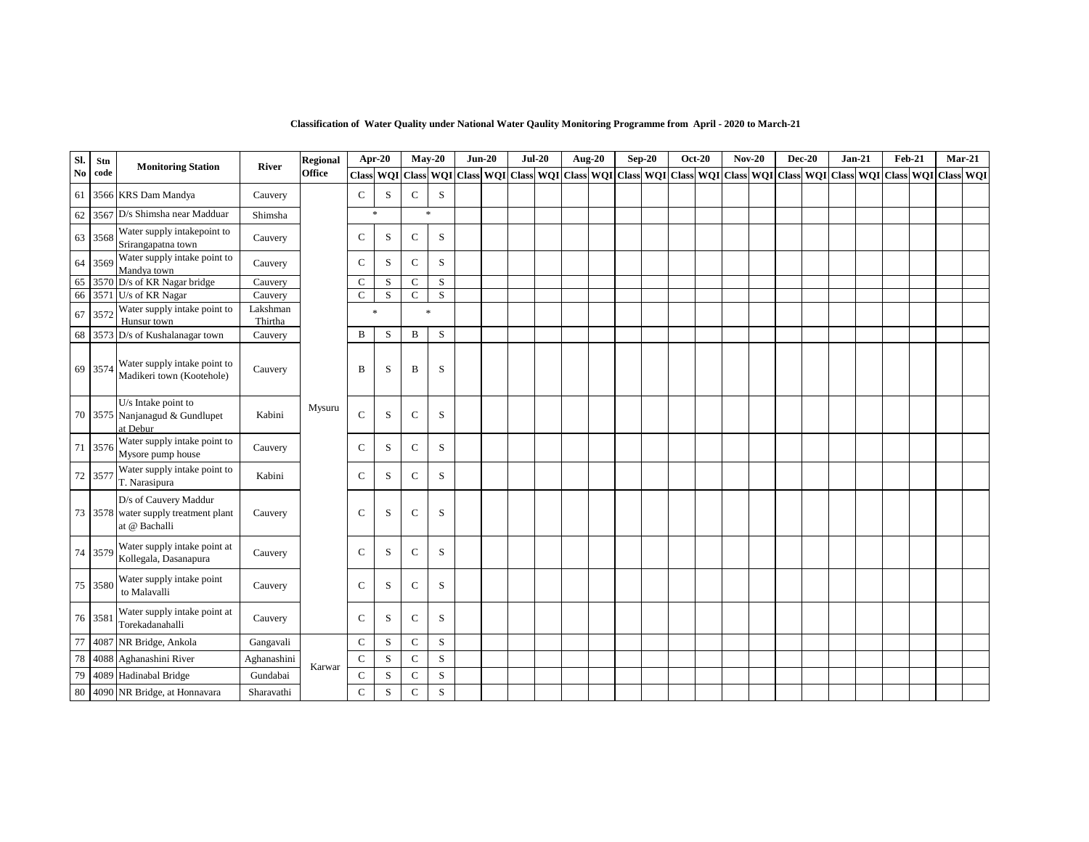| Sl.           | Stn     | <b>Monitoring Station</b>                                                      | River               | <b>Regional</b> |               | Apr-20       |              | $Mav-20$            | $Jun-20$ | $Jul-20$ |  | <b>Aug-20</b> | $Sep-20$ | <b>Oct-20</b> | <b>Nov-20</b> | <b>Dec-20</b> | $Jan-21$                                                                                                                                                                                                                     | <b>Feb-21</b> | $Mar-21$ |  |
|---------------|---------|--------------------------------------------------------------------------------|---------------------|-----------------|---------------|--------------|--------------|---------------------|----------|----------|--|---------------|----------|---------------|---------------|---------------|------------------------------------------------------------------------------------------------------------------------------------------------------------------------------------------------------------------------------|---------------|----------|--|
| $\mathbf{No}$ | code    |                                                                                |                     | <b>Office</b>   |               |              |              | Class WQI Class WQI |          |          |  |               |          |               |               |               | Class    WQI    Class    WQI    Class    WQI    Class    Class    WQI    Class    WQI    Class    WQI    Class    WQI    Class    WQI    Class    WQI    Class    WQI    Class    WQI    Class    WQI    Class    WQI    Cla |               |          |  |
| 61            |         | 3566 KRS Dam Mandya                                                            | Cauvery             |                 | $\mathcal{C}$ | S            | $\mathsf C$  | S                   |          |          |  |               |          |               |               |               |                                                                                                                                                                                                                              |               |          |  |
| 62            | 3567    | D/s Shimsha near Madduar                                                       | Shimsha             |                 |               | $\mathbf{x}$ |              | $\ast$              |          |          |  |               |          |               |               |               |                                                                                                                                                                                                                              |               |          |  |
| 63            | 3568    | Water supply intakepoint to<br>Srirangapatna town                              | Cauvery             |                 | $\mathsf{C}$  | S            | $\mathsf{C}$ | S                   |          |          |  |               |          |               |               |               |                                                                                                                                                                                                                              |               |          |  |
| 64            | 3569    | Water supply intake point to<br>Mandya town                                    | Cauvery             |                 | C             | S            | $\mathsf{C}$ | ${\bf S}$           |          |          |  |               |          |               |               |               |                                                                                                                                                                                                                              |               |          |  |
| 65            | 3570    | D/s of KR Nagar bridge                                                         | Cauvery             |                 | C             | S            | $\mathsf{C}$ | S                   |          |          |  |               |          |               |               |               |                                                                                                                                                                                                                              |               |          |  |
| 66            |         | 3571 U/s of KR Nagar                                                           | Cauvery             |                 | $\mathcal{C}$ | S            | $\mathsf{C}$ | S                   |          |          |  |               |          |               |               |               |                                                                                                                                                                                                                              |               |          |  |
| 67            | 357     | Water supply intake point to<br>Hunsur town                                    | Lakshman<br>Thirtha |                 |               | $\mathbf{z}$ |              | $\ast$              |          |          |  |               |          |               |               |               |                                                                                                                                                                                                                              |               |          |  |
| 68            |         | 3573 D/s of Kushalanagar town                                                  | Cauvery             |                 | B             | S            | B            | S                   |          |          |  |               |          |               |               |               |                                                                                                                                                                                                                              |               |          |  |
|               | 69 3574 | Water supply intake point to<br>Madikeri town (Kootehole)                      | Cauvery             |                 | B             | S            | B            | S                   |          |          |  |               |          |               |               |               |                                                                                                                                                                                                                              |               |          |  |
|               |         | U/s Intake point to<br>70 3575 Nanjanagud & Gundlupet<br>at Debur              | Kabini              | Mysuru          | $\mathsf{C}$  | S            | $\mathsf{C}$ | S                   |          |          |  |               |          |               |               |               |                                                                                                                                                                                                                              |               |          |  |
| 71            | 3576    | Water supply intake point to<br>Mysore pump house                              | Cauvery             |                 | C             | S            | $\mathsf{C}$ | S                   |          |          |  |               |          |               |               |               |                                                                                                                                                                                                                              |               |          |  |
| 72            | 3577    | Water supply intake point to<br>T. Narasipura                                  | Kabini              |                 | $\mathsf{C}$  | S            | $\mathsf{C}$ | S                   |          |          |  |               |          |               |               |               |                                                                                                                                                                                                                              |               |          |  |
|               |         | D/s of Cauvery Maddur<br>73 3578 water supply treatment plant<br>at @ Bachalli | Cauvery             |                 | $\mathsf{C}$  | S            | $\mathsf{C}$ | S                   |          |          |  |               |          |               |               |               |                                                                                                                                                                                                                              |               |          |  |
|               | 74 3579 | Water supply intake point at<br>Kollegala, Dasanapura                          | Cauvery             |                 | $\mathsf{C}$  | S            | $\mathsf{C}$ | S                   |          |          |  |               |          |               |               |               |                                                                                                                                                                                                                              |               |          |  |
|               | 75 3580 | Water supply intake point<br>to Malavalli                                      | Cauvery             |                 | $\mathbf C$   | S            | $\mathsf{C}$ | S                   |          |          |  |               |          |               |               |               |                                                                                                                                                                                                                              |               |          |  |
|               | 76 3581 | Water supply intake point at<br>Torekadanahalli                                | Cauvery             |                 | $\mathsf{C}$  | S            | $\mathbf C$  | S                   |          |          |  |               |          |               |               |               |                                                                                                                                                                                                                              |               |          |  |
| 77            | 4087    | NR Bridge, Ankola                                                              | Gangavali           |                 | $\mathsf{C}$  | S            | $\mathsf{C}$ | S                   |          |          |  |               |          |               |               |               |                                                                                                                                                                                                                              |               |          |  |
| 78            | 4088    | Aghanashini River                                                              | Aghanashini         |                 | $\mathsf{C}$  | S            | $\mathsf{C}$ | S                   |          |          |  |               |          |               |               |               |                                                                                                                                                                                                                              |               |          |  |
| 79            |         | 4089 Hadinabal Bridge                                                          | Gundabai            | Karwar          | $\mathbf C$   | S            | $\mathsf{C}$ | ${\bf S}$           |          |          |  |               |          |               |               |               |                                                                                                                                                                                                                              |               |          |  |
| 80            |         | 4090 NR Bridge, at Honnavara                                                   | Sharavathi          |                 | $\mathbf C$   | S            | $\mathsf{C}$ | S                   |          |          |  |               |          |               |               |               |                                                                                                                                                                                                                              |               |          |  |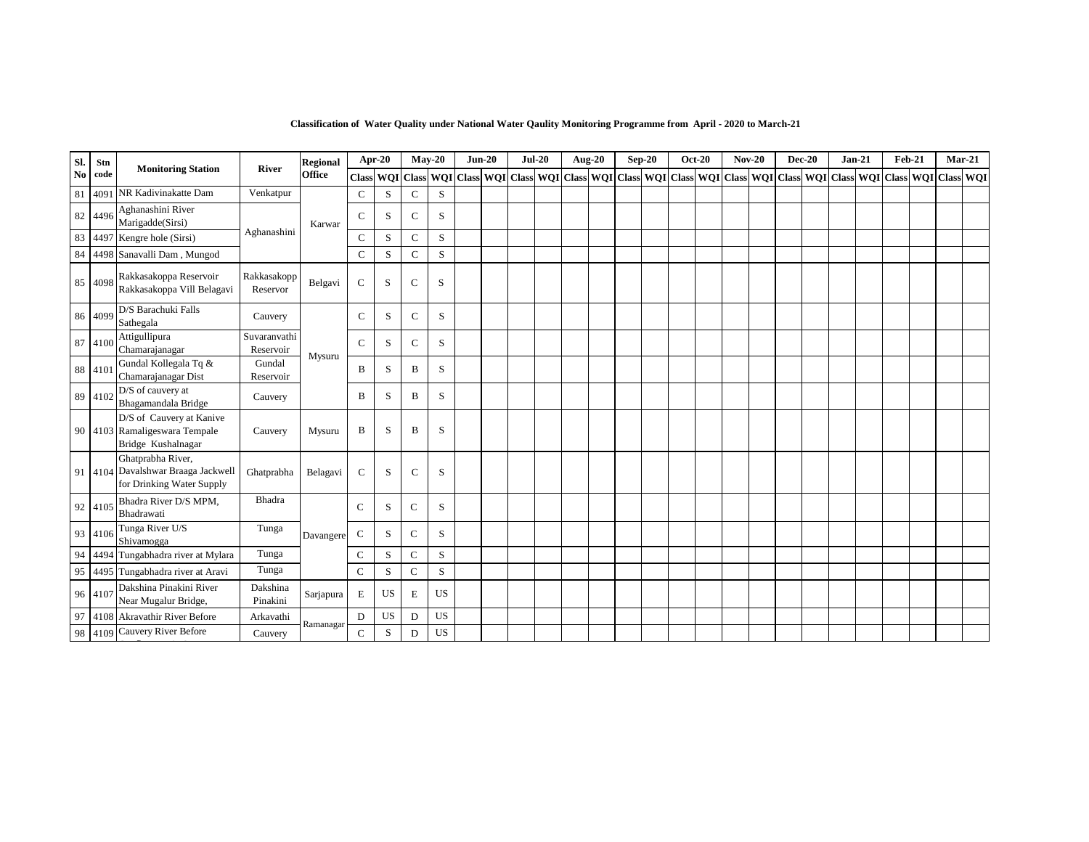| Sl. | Stn     | <b>Monitoring Station</b>                                                            | River                     | Regional      |               | <b>Apr-20</b>          |               | $May-20$  | $Jun-20$ | $Jul-20$                                                        | <b>Aug-20</b> |  | $Sep-20$ | <b>Oct-20</b> |              | $Nov-20$ | <b>Dec-20</b> | $Jan-21$                                    | <b>Feb-21</b> | $Mar-21$ |  |
|-----|---------|--------------------------------------------------------------------------------------|---------------------------|---------------|---------------|------------------------|---------------|-----------|----------|-----------------------------------------------------------------|---------------|--|----------|---------------|--------------|----------|---------------|---------------------------------------------|---------------|----------|--|
| No  | code    |                                                                                      |                           | <b>Office</b> |               | <b>Class WQI Class</b> |               |           |          | WQI Class WQI Class WQI Class WQI Class WQI Class WQI Class WQI |               |  |          |               | <b>Class</b> |          |               | WQI Class WQI Class WQI Class WQI Class WQI |               |          |  |
| 81  | 4091    | NR Kadivinakatte Dam                                                                 | Venkatpur                 |               | $\mathsf{C}$  | S                      | $\mathcal{C}$ | S         |          |                                                                 |               |  |          |               |              |          |               |                                             |               |          |  |
| 82  | 4496    | Aghanashini River<br>Marigadde(Sirsi)                                                |                           | Karwar        | $\mathsf{C}$  | S                      | $\mathsf{C}$  | S         |          |                                                                 |               |  |          |               |              |          |               |                                             |               |          |  |
| 83  |         | 4497 Kengre hole (Sirsi)                                                             | Aghanashini               |               | $\mathbf C$   | S                      | $\mathsf{C}$  | S         |          |                                                                 |               |  |          |               |              |          |               |                                             |               |          |  |
| 84  |         | 4498 Sanavalli Dam, Mungod                                                           |                           |               | $\mathbf C$   | S                      | ${\bf C}$     | ${\bf S}$ |          |                                                                 |               |  |          |               |              |          |               |                                             |               |          |  |
| 85  | 4098    | Rakkasakoppa Reservoir<br>Rakkasakoppa Vill Belagavi                                 | Rakkasakopp<br>Reservor   | Belgavi       | $\mathsf{C}$  | S                      | $\mathsf{C}$  | S         |          |                                                                 |               |  |          |               |              |          |               |                                             |               |          |  |
| 86  | 4099    | D/S Barachuki Falls<br>Sathegala                                                     | Cauvery                   |               | $\mathcal{C}$ | S                      | $\mathsf{C}$  | S         |          |                                                                 |               |  |          |               |              |          |               |                                             |               |          |  |
|     | 87 4100 | Attigullipura<br>Chamarajanagar                                                      | Suvaranvathi<br>Reservoir | Mysuru        | $\mathcal{C}$ | S                      | $\mathsf{C}$  | S         |          |                                                                 |               |  |          |               |              |          |               |                                             |               |          |  |
|     | 88 4101 | Gundal Kollegala Tq &<br>Chamarajanagar Dist                                         | Gundal<br>Reservoir       |               | B             | S                      | B             | S         |          |                                                                 |               |  |          |               |              |          |               |                                             |               |          |  |
|     | 89 4102 | D/S of cauvery at<br>Bhagamandala Bridge                                             | Cauvery                   |               | B             | S                      | B             | S         |          |                                                                 |               |  |          |               |              |          |               |                                             |               |          |  |
|     |         | D/S of Cauvery at Kanive<br>90 4103 Ramaligeswara Tempale<br>Bridge Kushalnagar      | Cauvery                   | Mysuru        | B             | S                      | B             | S         |          |                                                                 |               |  |          |               |              |          |               |                                             |               |          |  |
|     |         | Ghatprabha River,<br>91 4104 Davalshwar Braaga Jackwell<br>for Drinking Water Supply | Ghatprabha                | Belagavi      | $\mathsf{C}$  | S                      | $\mathsf{C}$  | S         |          |                                                                 |               |  |          |               |              |          |               |                                             |               |          |  |
|     | 92 4105 | Bhadra River D/S MPM,<br>Bhadrawati                                                  | Bhadra                    |               | $\mathsf{C}$  | S                      | $\mathsf{C}$  | S         |          |                                                                 |               |  |          |               |              |          |               |                                             |               |          |  |
|     | 93 4106 | Tunga River U/S<br>Shivamogga                                                        | Tunga                     | Davangere     | $\mathbf C$   | S                      | $\mathsf{C}$  | S         |          |                                                                 |               |  |          |               |              |          |               |                                             |               |          |  |
|     | 94 4494 | Tungabhadra river at Mylara                                                          | Tunga                     |               | $\mathsf{C}$  | S                      | $\mathbf C$   | S         |          |                                                                 |               |  |          |               |              |          |               |                                             |               |          |  |
| 95  | 4495    | Tungabhadra river at Aravi                                                           | Tunga                     |               | $\mathsf{C}$  | S                      | $\mathsf{C}$  | S         |          |                                                                 |               |  |          |               |              |          |               |                                             |               |          |  |
|     | 96 4107 | Dakshina Pinakini River<br>Near Mugalur Bridge,                                      | Dakshina<br>Pinakini      | Sarjapura     | E             | <b>US</b>              | Е             | <b>US</b> |          |                                                                 |               |  |          |               |              |          |               |                                             |               |          |  |
|     | 97 4108 | Akravathir River Before                                                              | Arkavathi                 | Ramanagar     | D             | <b>US</b>              | D             | <b>US</b> |          |                                                                 |               |  |          |               |              |          |               |                                             |               |          |  |
|     | 98 4109 | Cauvery River Before                                                                 | Cauvery                   |               | $\mathcal{C}$ | S                      | D             | US        |          |                                                                 |               |  |          |               |              |          |               |                                             |               |          |  |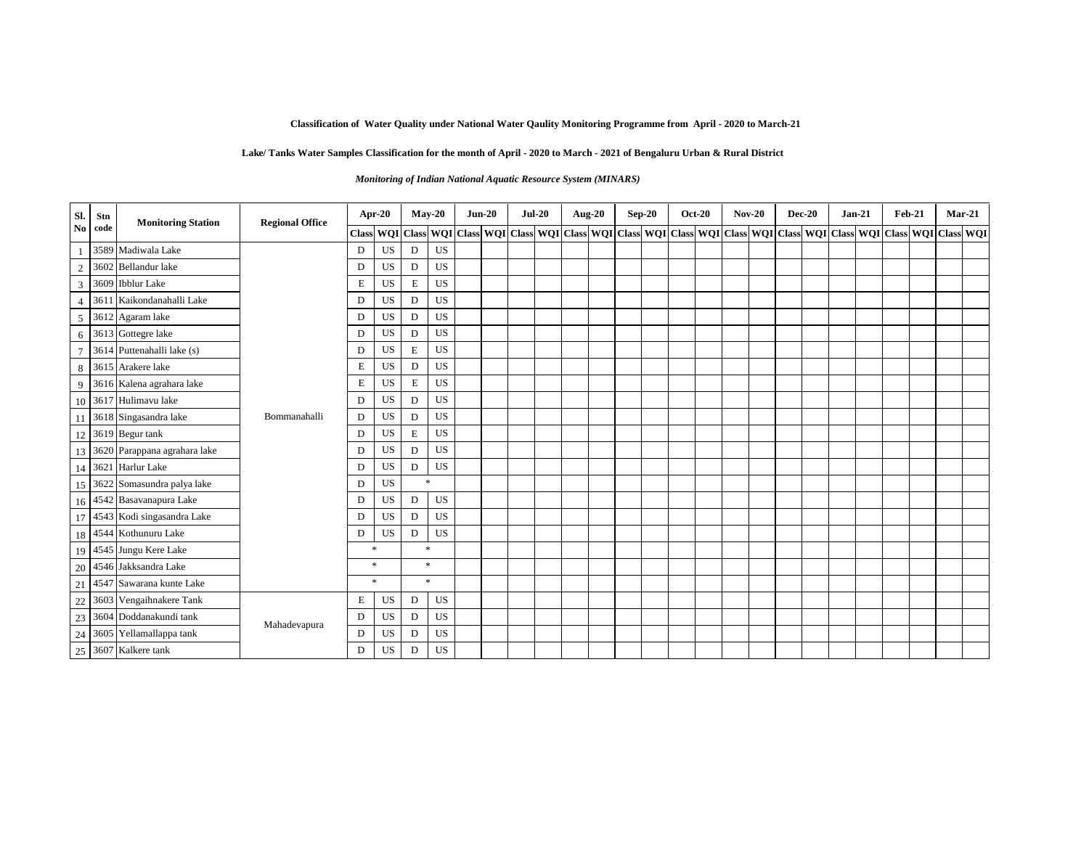#### **Lake/ Tanks Water Samples Classification for the month of April - 2020 to March - 2021 of Bengaluru Urban & Rural District**

#### *Monitoring of Indian National Aquatic Resource System (MINARS)*

| Sl.            | Stn  | <b>Monitoring Station</b>       | <b>Regional Office</b> |   | Apr-20       |        | $May-20$  | $Jun-20$ | $Jul-20$ |  | <b>Aug-20</b> | $Sep-20$ | <b>Oct-20</b> | $Nov-20$ | <b>Dec-20</b> | $Jan-21$ | <b>Feb-21</b> |                                                                                                                                                            | $Mar-21$ |
|----------------|------|---------------------------------|------------------------|---|--------------|--------|-----------|----------|----------|--|---------------|----------|---------------|----------|---------------|----------|---------------|------------------------------------------------------------------------------------------------------------------------------------------------------------|----------|
| N <sub>0</sub> | code |                                 |                        |   |              |        |           |          |          |  |               |          |               |          |               |          |               | Class  WQI  Class  WQI  Class  WQI  Class  WQI  Class  WQI  Class  WQI  Class  WQI  Class  WQI  Class  WQI  Class  WQI  Class  WQI  Class  WQI  Class  WQI |          |
| $\overline{1}$ |      | 3589 Madiwala Lake              |                        | D | US           | D      | US        |          |          |  |               |          |               |          |               |          |               |                                                                                                                                                            |          |
| $\overline{2}$ |      | 3602 Bellandur lake             |                        | D | US           | D      | US        |          |          |  |               |          |               |          |               |          |               |                                                                                                                                                            |          |
| 3              |      | 3609 Ibblur Lake                |                        | E | US           | E      | US        |          |          |  |               |          |               |          |               |          |               |                                                                                                                                                            |          |
| $\overline{4}$ |      | 3611 Kaikondanahalli Lake       |                        | D | US           | D      | US        |          |          |  |               |          |               |          |               |          |               |                                                                                                                                                            |          |
| 5 <sup>5</sup> |      | 3612 Agaram lake                |                        | D | US           | D      | US        |          |          |  |               |          |               |          |               |          |               |                                                                                                                                                            |          |
| 6              |      | 3613 Gottegre lake              |                        | D | US           | D      | US        |          |          |  |               |          |               |          |               |          |               |                                                                                                                                                            |          |
| $\overline{7}$ |      | 3614 Puttenahalli lake (s)      |                        | D | US           | Е      | US        |          |          |  |               |          |               |          |               |          |               |                                                                                                                                                            |          |
| 8              |      | 3615 Arakere lake               |                        | E | US           | D      | US        |          |          |  |               |          |               |          |               |          |               |                                                                                                                                                            |          |
| 9              |      | 3616 Kalena agrahara lake       |                        | E | US           | E      | US        |          |          |  |               |          |               |          |               |          |               |                                                                                                                                                            |          |
|                |      | $10\,$ 3617 Hulimavu lake       |                        | D | US           | D      | US        |          |          |  |               |          |               |          |               |          |               |                                                                                                                                                            |          |
| 11             |      | 3618 Singasandra lake           | Bommanahalli           | D | US           | D      | US        |          |          |  |               |          |               |          |               |          |               |                                                                                                                                                            |          |
|                |      | 12 3619 Begur tank              |                        | D | US           | Е      | US        |          |          |  |               |          |               |          |               |          |               |                                                                                                                                                            |          |
|                |      | 13 3620 Parappana agrahara lake |                        | D | US           | D      | <b>US</b> |          |          |  |               |          |               |          |               |          |               |                                                                                                                                                            |          |
|                |      | 14 3621 Harlur Lake             |                        | D | US           | D      | US        |          |          |  |               |          |               |          |               |          |               |                                                                                                                                                            |          |
| 15             |      | 3622 Somasundra palya lake      |                        | D | US           | $\ast$ |           |          |          |  |               |          |               |          |               |          |               |                                                                                                                                                            |          |
|                |      | 16 4542 Basavanapura Lake       |                        | D | US           | D      | US        |          |          |  |               |          |               |          |               |          |               |                                                                                                                                                            |          |
|                |      | 17 4543 Kodi singasandra Lake   |                        | D | US           | D      | US        |          |          |  |               |          |               |          |               |          |               |                                                                                                                                                            |          |
|                |      | 18 4544 Kothunuru Lake          |                        | D | US           | D      | US        |          |          |  |               |          |               |          |               |          |               |                                                                                                                                                            |          |
| 19             |      | 4545 Jungu Kere Lake            |                        |   | $\mathbf{x}$ | $\ast$ |           |          |          |  |               |          |               |          |               |          |               |                                                                                                                                                            |          |
| 20             |      | 4546 Jakksandra Lake            |                        |   | *            |        | $\ast$    |          |          |  |               |          |               |          |               |          |               |                                                                                                                                                            |          |
| 21             |      | 4547 Sawarana kunte Lake        |                        |   | $*$          |        | $\ast$    |          |          |  |               |          |               |          |               |          |               |                                                                                                                                                            |          |
| 22             |      | 3603 Vengaihnakere Tank         |                        | E | US           | D      | US        |          |          |  |               |          |               |          |               |          |               |                                                                                                                                                            |          |
| 23             |      | 3604 Doddanakundi tank          | Mahadevapura           | D | US           | D      | US        |          |          |  |               |          |               |          |               |          |               |                                                                                                                                                            |          |
| 24             |      | 3605 Yellamallappa tank         |                        | D | US           | D      | US        |          |          |  |               |          |               |          |               |          |               |                                                                                                                                                            |          |
|                |      | 25 3607 Kalkere tank            |                        | D | US           | D      | US        |          |          |  |               |          |               |          |               |          |               |                                                                                                                                                            |          |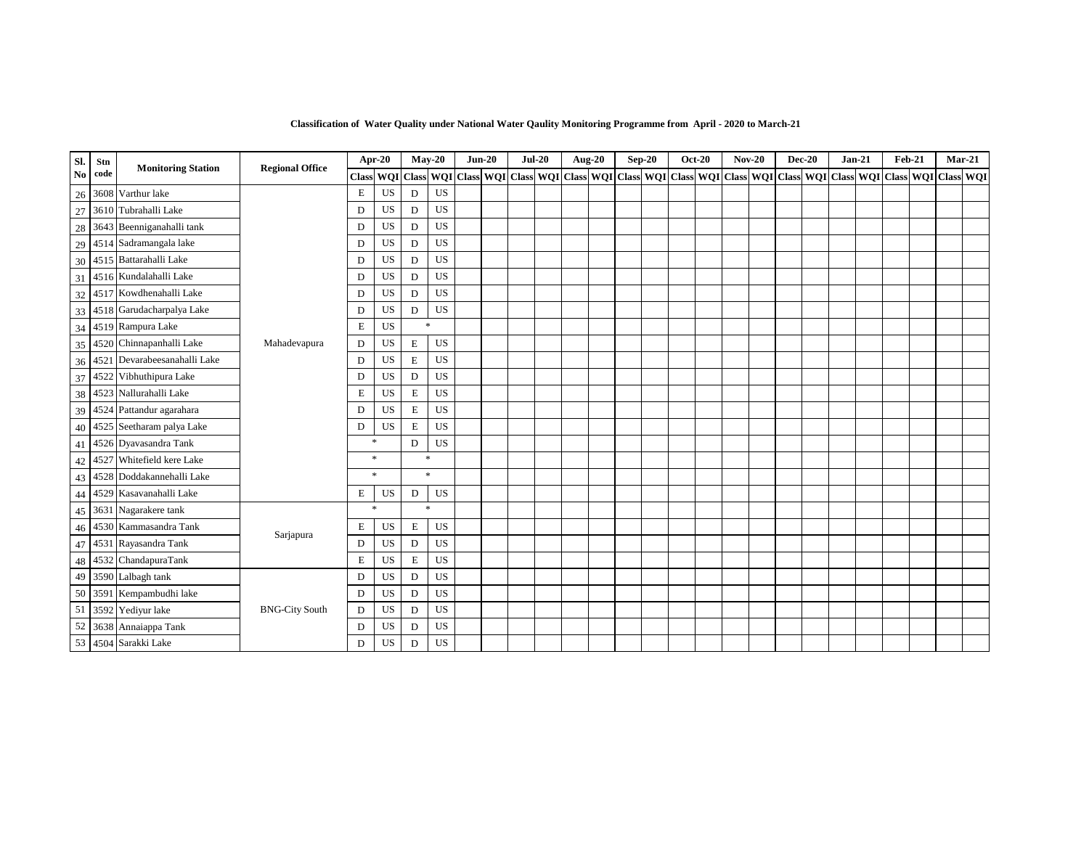| Sl.                    | Stn  | <b>Monitoring Station</b> | <b>Regional Office</b> |        | <b>Apr-20</b> |   | $May-20$                                                              | $Jun-20$ | $Jul-20$ |  | Aug-20 | $Sep-20$ | <b>Oct-20</b> | $Nov-20$ | $Dec-20$ |  | $Jan-21$ | $Feb-21$ | $Mar-21$                                                            |  |
|------------------------|------|---------------------------|------------------------|--------|---------------|---|-----------------------------------------------------------------------|----------|----------|--|--------|----------|---------------|----------|----------|--|----------|----------|---------------------------------------------------------------------|--|
| $\mathbf{N}\mathbf{0}$ | code |                           |                        |        |               |   | Class WQI Class WQI Class WQI Class WQI Class WQI Class WQI Class WQI |          |          |  |        |          |               |          |          |  |          |          | Class   WQI   Class   WQI   Class   WQI   Class   WQI   Class   WQI |  |
| 26                     |      | 3608 Varthur lake         |                        | E      | US            | D | US                                                                    |          |          |  |        |          |               |          |          |  |          |          |                                                                     |  |
| 27                     |      | 3610 Tubrahalli Lake      |                        | D      | US            | D | US                                                                    |          |          |  |        |          |               |          |          |  |          |          |                                                                     |  |
| 28                     |      | 3643 Beenniganahalli tank |                        | D      | US            | D | US                                                                    |          |          |  |        |          |               |          |          |  |          |          |                                                                     |  |
| 29                     | 4514 | Sadramangala lake         |                        | D      | US            | D | US                                                                    |          |          |  |        |          |               |          |          |  |          |          |                                                                     |  |
| 30                     |      | 4515 Battarahalli Lake    |                        | D      | US            | D | <b>US</b>                                                             |          |          |  |        |          |               |          |          |  |          |          |                                                                     |  |
| 31                     |      | 4516 Kundalahalli Lake    |                        | D      | US            | D | US                                                                    |          |          |  |        |          |               |          |          |  |          |          |                                                                     |  |
| 32                     |      | 4517 Kowdhenahalli Lake   |                        | D      | US            | D | US                                                                    |          |          |  |        |          |               |          |          |  |          |          |                                                                     |  |
| 33                     |      | 4518 Garudacharpalya Lake |                        | D      | US            | D | US                                                                    |          |          |  |        |          |               |          |          |  |          |          |                                                                     |  |
| 34                     |      | 4519 Rampura Lake         |                        | Ε      | US            |   | $\ast$                                                                |          |          |  |        |          |               |          |          |  |          |          |                                                                     |  |
| 35                     |      | 4520 Chinnapanhalli Lake  | Mahadevapura           | D      | US            | Е | US                                                                    |          |          |  |        |          |               |          |          |  |          |          |                                                                     |  |
| 36                     | 4521 | Devarabeesanahalli Lake   |                        | D      | US            | Е | US                                                                    |          |          |  |        |          |               |          |          |  |          |          |                                                                     |  |
| 37                     |      | 4522 Vibhuthipura Lake    |                        | D      | US            | D | <b>US</b>                                                             |          |          |  |        |          |               |          |          |  |          |          |                                                                     |  |
| 38                     | 4523 | Nallurahalli Lake         |                        | E      | US            | Е | US                                                                    |          |          |  |        |          |               |          |          |  |          |          |                                                                     |  |
| 39                     |      | 4524 Pattandur agarahara  |                        | D      | US            | E | <b>US</b>                                                             |          |          |  |        |          |               |          |          |  |          |          |                                                                     |  |
| 40                     |      | 4525 Seetharam palya Lake |                        | D      | US            | Е | US                                                                    |          |          |  |        |          |               |          |          |  |          |          |                                                                     |  |
| 41                     |      | 4526 Dyavasandra Tank     |                        | $\ast$ |               | D | US                                                                    |          |          |  |        |          |               |          |          |  |          |          |                                                                     |  |
| 42                     | 4527 | Whitefield kere Lake      |                        | $\ast$ |               |   | $\ast$                                                                |          |          |  |        |          |               |          |          |  |          |          |                                                                     |  |
| 43                     |      | 4528 Doddakannehalli Lake |                        | $\ast$ |               |   | $\ast$                                                                |          |          |  |        |          |               |          |          |  |          |          |                                                                     |  |
| 44                     |      | 4529 Kasavanahalli Lake   |                        | Е      | US            | D | US                                                                    |          |          |  |        |          |               |          |          |  |          |          |                                                                     |  |
| 45                     |      | 3631 Nagarakere tank      |                        | $\ast$ |               |   | $\gg$                                                                 |          |          |  |        |          |               |          |          |  |          |          |                                                                     |  |
| 46                     |      | 4530 Kammasandra Tank     |                        | Е      | US            | E | US                                                                    |          |          |  |        |          |               |          |          |  |          |          |                                                                     |  |
| 47                     |      | 4531 Rayasandra Tank      | Sarjapura              | D      | US            | D | <b>US</b>                                                             |          |          |  |        |          |               |          |          |  |          |          |                                                                     |  |
| 48                     |      | 4532 ChandapuraTank       |                        | Е      | US            | E | US                                                                    |          |          |  |        |          |               |          |          |  |          |          |                                                                     |  |
| 49                     |      | 3590 Lalbagh tank         |                        | D      | US            | D | <b>US</b>                                                             |          |          |  |        |          |               |          |          |  |          |          |                                                                     |  |
| 50                     |      | 3591 Kempambudhi lake     |                        | D      | US            | D | US                                                                    |          |          |  |        |          |               |          |          |  |          |          |                                                                     |  |
| 51                     | 3592 | Yediyur lake              | <b>BNG-City South</b>  | D      | US            | D | US                                                                    |          |          |  |        |          |               |          |          |  |          |          |                                                                     |  |
| 52                     | 3638 | Annaiappa Tank            |                        | D      | US            | D | US                                                                    |          |          |  |        |          |               |          |          |  |          |          |                                                                     |  |
| 53                     |      | 4504 Sarakki Lake         |                        | D      | US            | D | US                                                                    |          |          |  |        |          |               |          |          |  |          |          |                                                                     |  |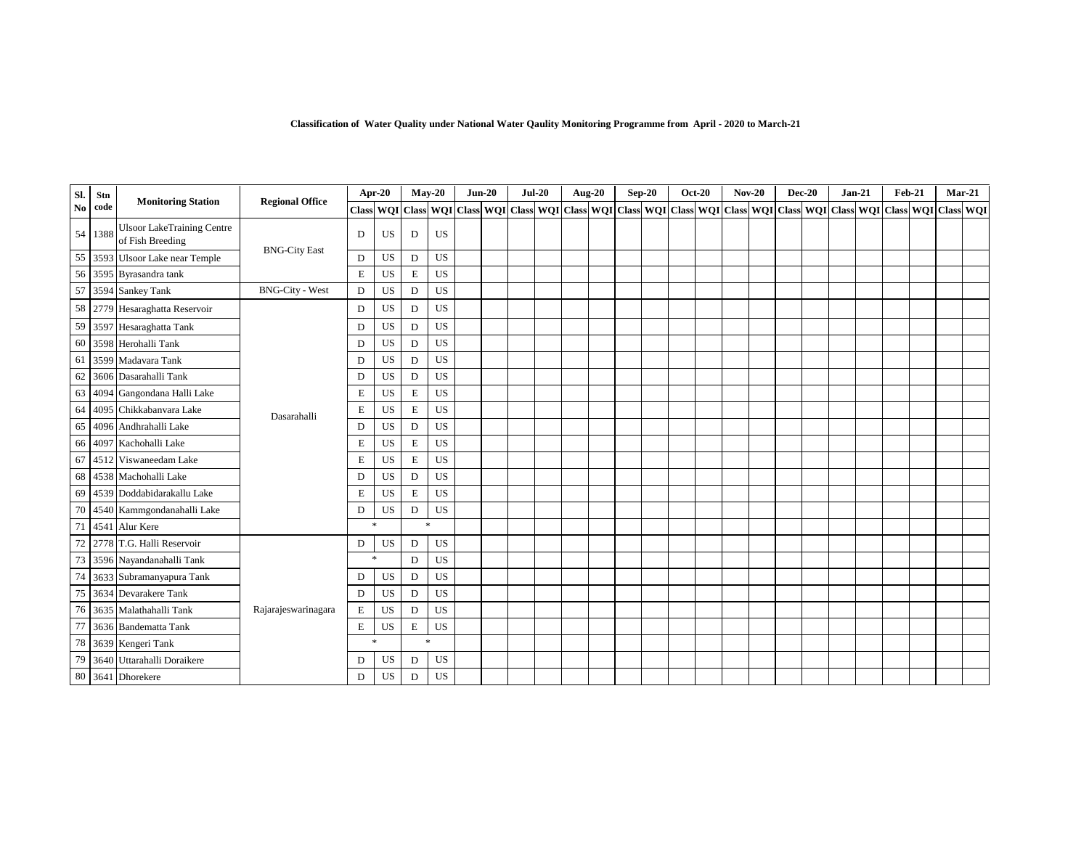| Sl.           | Stn  | <b>Monitoring Station</b>                             | <b>Regional Office</b> |             | Apr-20                                                                                                                                                                                                                        | $Mav-20$           |           | $Jun-20$ | $Jul-20$ |  | <b>Aug-20</b> | $Sep-20$ | <b>Oct-20</b> | $Nov-20$ | $Dec-20$ | $Jan-21$ | <b>Feb-21</b> |               | $Mar-21$ |  |
|---------------|------|-------------------------------------------------------|------------------------|-------------|-------------------------------------------------------------------------------------------------------------------------------------------------------------------------------------------------------------------------------|--------------------|-----------|----------|----------|--|---------------|----------|---------------|----------|----------|----------|---------------|---------------|----------|--|
| $\mathbf{No}$ | code |                                                       |                        |             | Class   WQI   Class   WQI   Class   WQI   Class   WQI   Class   WQI   Class   WQI   Class   WQI   Class   WQI   Class   WQI   Class   WQI   Class   WQI   Class   WQI   Class   WQI   Class   WQI   Class   WQI   Class   WQI |                    |           |          |          |  |               |          |               |          |          |          |               | WQI Class WQI |          |  |
| 54            | 1388 | <b>Ulsoor LakeTraining Centre</b><br>of Fish Breeding |                        | D           | <b>US</b>                                                                                                                                                                                                                     | D                  | US        |          |          |  |               |          |               |          |          |          |               |               |          |  |
| 55            |      | 3593 Ulsoor Lake near Temple                          | <b>BNG-City East</b>   | D           | US                                                                                                                                                                                                                            | D                  | US        |          |          |  |               |          |               |          |          |          |               |               |          |  |
| 56            |      | 3595 Byrasandra tank                                  |                        | E           | US                                                                                                                                                                                                                            | E                  | US        |          |          |  |               |          |               |          |          |          |               |               |          |  |
| 57            |      | 3594 Sankey Tank                                      | <b>BNG-City - West</b> | D           | US                                                                                                                                                                                                                            | D                  | <b>US</b> |          |          |  |               |          |               |          |          |          |               |               |          |  |
| 58            |      | 2779 Hesaraghatta Reservoir                           |                        | D           | US                                                                                                                                                                                                                            | D                  | US        |          |          |  |               |          |               |          |          |          |               |               |          |  |
| 59            |      | 3597 Hesaraghatta Tank                                |                        | D           | US                                                                                                                                                                                                                            | D                  | US        |          |          |  |               |          |               |          |          |          |               |               |          |  |
| 60            |      | 3598 Herohalli Tank                                   |                        | D           | US                                                                                                                                                                                                                            | D                  | US        |          |          |  |               |          |               |          |          |          |               |               |          |  |
| 61            |      | 3599 Madavara Tank                                    |                        | D           | US                                                                                                                                                                                                                            | D                  | US        |          |          |  |               |          |               |          |          |          |               |               |          |  |
| 62            |      | 3606 Dasarahalli Tank                                 |                        | D           | US                                                                                                                                                                                                                            | D                  | US        |          |          |  |               |          |               |          |          |          |               |               |          |  |
| 63            |      | 4094 Gangondana Halli Lake                            |                        | Е           | US                                                                                                                                                                                                                            | E                  | US        |          |          |  |               |          |               |          |          |          |               |               |          |  |
| 64            |      | 4095 Chikkabanyara Lake                               | Dasarahalli            | Е           | US                                                                                                                                                                                                                            | E                  | US        |          |          |  |               |          |               |          |          |          |               |               |          |  |
| 65            |      | 4096 Andhrahalli Lake                                 |                        | D           | US                                                                                                                                                                                                                            | D                  | US        |          |          |  |               |          |               |          |          |          |               |               |          |  |
| 66            |      | 4097 Kachohalli Lake                                  |                        | E           | US                                                                                                                                                                                                                            | E                  | <b>US</b> |          |          |  |               |          |               |          |          |          |               |               |          |  |
| 67            |      | 4512 Viswaneedam Lake                                 |                        | Е           | US                                                                                                                                                                                                                            | E                  | US        |          |          |  |               |          |               |          |          |          |               |               |          |  |
| 68            |      | 4538 Machohalli Lake                                  |                        | D           | US                                                                                                                                                                                                                            | D                  | US        |          |          |  |               |          |               |          |          |          |               |               |          |  |
| 69            |      | 4539 Doddabidarakallu Lake                            |                        | E           | <b>US</b>                                                                                                                                                                                                                     | E                  | <b>US</b> |          |          |  |               |          |               |          |          |          |               |               |          |  |
| 70            |      | 4540 Kammgondanahalli Lake                            |                        | D           | US                                                                                                                                                                                                                            | D                  | US        |          |          |  |               |          |               |          |          |          |               |               |          |  |
| 71            |      | 4541 Alur Kere                                        |                        |             | $\ast$                                                                                                                                                                                                                        | ×                  |           |          |          |  |               |          |               |          |          |          |               |               |          |  |
| $72\,$        |      | 2778 T.G. Halli Reservoir                             |                        | D           | US                                                                                                                                                                                                                            | D                  | US        |          |          |  |               |          |               |          |          |          |               |               |          |  |
| 73            |      | 3596 Nayandanahalli Tank                              |                        |             | $\ast$                                                                                                                                                                                                                        | D                  | US        |          |          |  |               |          |               |          |          |          |               |               |          |  |
| $74\,$        |      | 3633 Subramanyapura Tank                              |                        | D           | US                                                                                                                                                                                                                            | D                  | <b>US</b> |          |          |  |               |          |               |          |          |          |               |               |          |  |
| 75            |      | 3634 Devarakere Tank                                  |                        | D           | <b>US</b>                                                                                                                                                                                                                     | D                  | US        |          |          |  |               |          |               |          |          |          |               |               |          |  |
| 76            |      | 3635 Malathahalli Tank                                | Rajarajeswarinagara    | E           | US                                                                                                                                                                                                                            | D                  | <b>US</b> |          |          |  |               |          |               |          |          |          |               |               |          |  |
| 77            |      | 3636 Bandematta Tank                                  |                        | $\mathbf E$ | US                                                                                                                                                                                                                            | E                  | US        |          |          |  |               |          |               |          |          |          |               |               |          |  |
| 78            |      | 3639 Kengeri Tank                                     |                        |             | $\ast$                                                                                                                                                                                                                        | $\dot{\mathbf{x}}$ |           |          |          |  |               |          |               |          |          |          |               |               |          |  |
| 79            |      | 3640 Uttarahalli Doraikere                            |                        | D           | US                                                                                                                                                                                                                            | D                  | <b>US</b> |          |          |  |               |          |               |          |          |          |               |               |          |  |
|               |      | 80 3641 Dhorekere                                     |                        | D           | US                                                                                                                                                                                                                            | D                  | US        |          |          |  |               |          |               |          |          |          |               |               |          |  |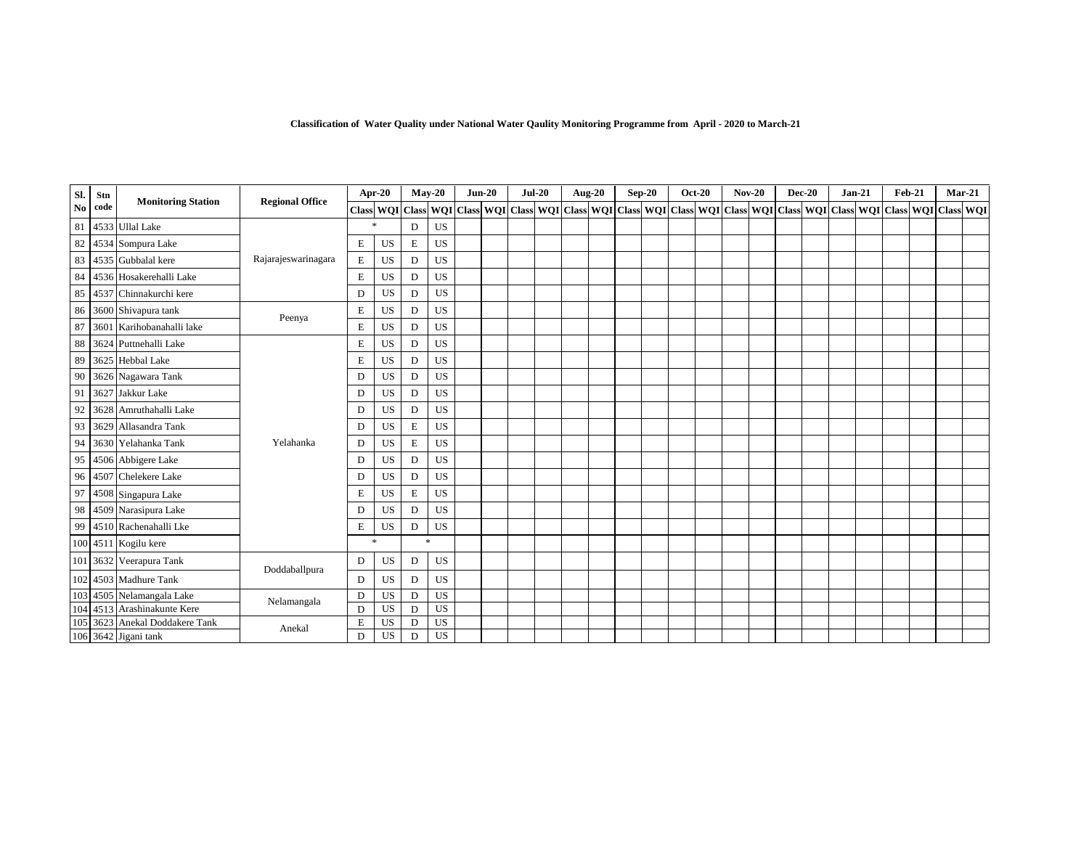| SI.            | Stn  | <b>Monitoring Station</b>  | <b>Regional Office</b> |   | <b>Apr-20</b>   |   | $May-20$  | $Jun-20$ | $Jul-20$ |  | <b>Aug-20</b> | $Sep-20$ | <b>Oct-20</b> | $Nov-20$ |  | $Dec-20$ | $Jan-21$                                                                                                          | <b>Feb-21</b> |  | $Mar-21$ |
|----------------|------|----------------------------|------------------------|---|-----------------|---|-----------|----------|----------|--|---------------|----------|---------------|----------|--|----------|-------------------------------------------------------------------------------------------------------------------|---------------|--|----------|
| N <sub>0</sub> | code |                            |                        |   | Class WQI Class |   |           |          |          |  |               |          |               |          |  |          | WQI Class WQI Class WQI Class WQI Class WQI Class WQI Class WQI Class WQI Class WQI Class WQI Class WQI Class WQI |               |  |          |
| 81             |      | 4533 Ullal Lake            |                        |   | 宋               | D | <b>US</b> |          |          |  |               |          |               |          |  |          |                                                                                                                   |               |  |          |
| 82             | 4534 | Sompura Lake               |                        | Е | <b>US</b>       | Ε | <b>US</b> |          |          |  |               |          |               |          |  |          |                                                                                                                   |               |  |          |
| 83             |      | 4535 Gubbalal kere         | Rajarajeswarinagara    | E | US              | D | US        |          |          |  |               |          |               |          |  |          |                                                                                                                   |               |  |          |
| 84             |      | 4536 Hosakerehalli Lake    |                        | E | <b>US</b>       | D | <b>US</b> |          |          |  |               |          |               |          |  |          |                                                                                                                   |               |  |          |
| 85             | 4537 | Chinnakurchi kere          |                        | D | US              | D | US        |          |          |  |               |          |               |          |  |          |                                                                                                                   |               |  |          |
| 86             |      | 3600 Shivapura tank        |                        | E | US              | D | <b>US</b> |          |          |  |               |          |               |          |  |          |                                                                                                                   |               |  |          |
| 87             |      | 3601 Karihobanahalli lake  | Peenya                 | E | US              | D | <b>US</b> |          |          |  |               |          |               |          |  |          |                                                                                                                   |               |  |          |
| 88             |      | 3624 Puttnehalli Lake      |                        | Е | US              | D | <b>US</b> |          |          |  |               |          |               |          |  |          |                                                                                                                   |               |  |          |
| 89             |      | 3625 Hebbal Lake           |                        | E | US              | D | <b>US</b> |          |          |  |               |          |               |          |  |          |                                                                                                                   |               |  |          |
| 90             |      | 3626 Nagawara Tank         |                        | D | US              | D | US        |          |          |  |               |          |               |          |  |          |                                                                                                                   |               |  |          |
| 91             | 3627 | Jakkur Lake                |                        | D | US              | D | US        |          |          |  |               |          |               |          |  |          |                                                                                                                   |               |  |          |
| 92             | 3628 | Amruthahalli Lake          |                        | D | US              | D | US        |          |          |  |               |          |               |          |  |          |                                                                                                                   |               |  |          |
| 93             | 3629 | Allasandra Tank            |                        | D | US              | E | US        |          |          |  |               |          |               |          |  |          |                                                                                                                   |               |  |          |
| 94             |      | 3630 Yelahanka Tank        | Yelahanka              | D | US              | Ε | US        |          |          |  |               |          |               |          |  |          |                                                                                                                   |               |  |          |
| 95             |      | 4506 Abbigere Lake         |                        | D | <b>US</b>       | D | <b>US</b> |          |          |  |               |          |               |          |  |          |                                                                                                                   |               |  |          |
| 96             | 4507 | Chelekere Lake             |                        | D | US              | D | US        |          |          |  |               |          |               |          |  |          |                                                                                                                   |               |  |          |
| 97             |      | 4508 Singapura Lake        |                        | E | <b>US</b>       | Ε | <b>US</b> |          |          |  |               |          |               |          |  |          |                                                                                                                   |               |  |          |
| 98             |      | 4509 Narasipura Lake       |                        | D | <b>US</b>       | D | <b>US</b> |          |          |  |               |          |               |          |  |          |                                                                                                                   |               |  |          |
| 99             |      | 4510 Rachenahalli Lke      |                        | Е | US              | D | <b>US</b> |          |          |  |               |          |               |          |  |          |                                                                                                                   |               |  |          |
|                |      | 100 4511 Kogilu kere       |                        |   | $\ast$          |   | $\approx$ |          |          |  |               |          |               |          |  |          |                                                                                                                   |               |  |          |
|                |      | 101 3632 Veerapura Tank    |                        | D | US              | D | US        |          |          |  |               |          |               |          |  |          |                                                                                                                   |               |  |          |
| 102            |      | 4503 Madhure Tank          | Doddaballpura          | D | US              | D | US        |          |          |  |               |          |               |          |  |          |                                                                                                                   |               |  |          |
| 103            | 4505 | Nelamangala Lake           | Nelamangala            | D | US              | D | <b>US</b> |          |          |  |               |          |               |          |  |          |                                                                                                                   |               |  |          |
| 104            | 4513 | Arashinakunte Kere         |                        | D | <b>US</b>       | D | US        |          |          |  |               |          |               |          |  |          |                                                                                                                   |               |  |          |
| 105            |      | 3623 Anekal Doddakere Tank | Anekal                 | E | US              | D | US        |          |          |  |               |          |               |          |  |          |                                                                                                                   |               |  |          |
|                |      | 106 3642 Jigani tank       |                        | D | US              | D | US        |          |          |  |               |          |               |          |  |          |                                                                                                                   |               |  |          |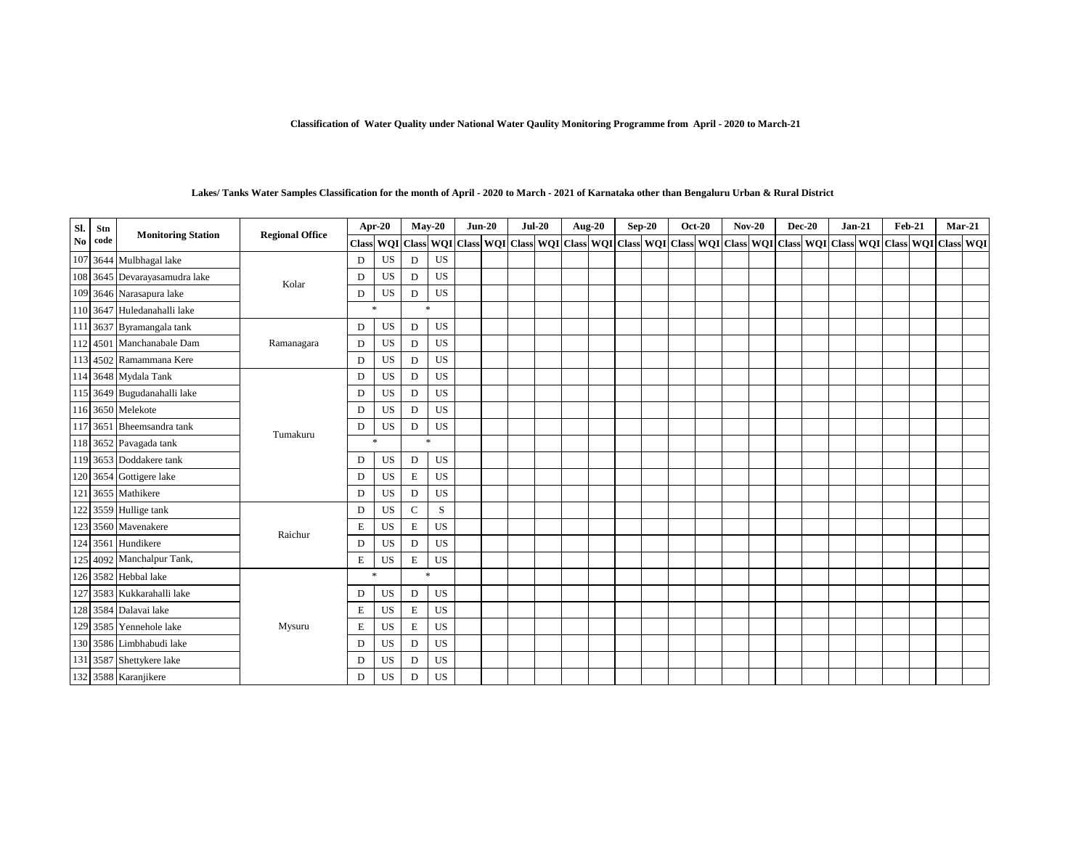| Sl. | Stn  |                               |                        |              | Apr-20    |              | $May-20$  | $Jun-20$ | $Jul-20$ | <b>Aug-20</b> | $Sep-20$ | <b>Oct-20</b> | $Nov-20$ | <b>Dec-20</b> | $Jan-21$                                                                                                                                                  |  | $Feb-21$ | $Mar-21$ |
|-----|------|-------------------------------|------------------------|--------------|-----------|--------------|-----------|----------|----------|---------------|----------|---------------|----------|---------------|-----------------------------------------------------------------------------------------------------------------------------------------------------------|--|----------|----------|
| No. | code | <b>Monitoring Station</b>     | <b>Regional Office</b> | <b>Class</b> |           |              |           |          |          |               |          |               |          |               | WQI Class WQI Class WQI Class WQI Class WQI Class WQI Class WQI Class WQI Class WQI Class WQI Class WQI Class WQI Class WQI Class WQI Class WQI Class WQI |  |          |          |
|     |      | 107 3644 Mulbhagal lake       |                        | D            | US        | D            | US        |          |          |               |          |               |          |               |                                                                                                                                                           |  |          |          |
|     |      | 108 3645 Devarayasamudra lake |                        | D            | US        | D            | US        |          |          |               |          |               |          |               |                                                                                                                                                           |  |          |          |
|     |      | 109 3646 Narasapura lake      | Kolar                  | D            | US        | D            | US        |          |          |               |          |               |          |               |                                                                                                                                                           |  |          |          |
|     |      | 110 3647 Huledanahalli lake   |                        |              | $\ast$    |              | $\ast$    |          |          |               |          |               |          |               |                                                                                                                                                           |  |          |          |
|     |      | 111 3637 Byramangala tank     |                        | D            | US        | D            | US        |          |          |               |          |               |          |               |                                                                                                                                                           |  |          |          |
|     |      | 112 4501 Manchanabale Dam     | Ramanagara             | D            | US        | D            | US        |          |          |               |          |               |          |               |                                                                                                                                                           |  |          |          |
|     |      | 113 4502 Ramammana Kere       |                        | D            | US        | D            | US        |          |          |               |          |               |          |               |                                                                                                                                                           |  |          |          |
|     |      | 114 3648 Mydala Tank          |                        | D            | US        | D            | US        |          |          |               |          |               |          |               |                                                                                                                                                           |  |          |          |
|     |      | 115 3649 Bugudanahalli lake   |                        | D            | US        | D            | US        |          |          |               |          |               |          |               |                                                                                                                                                           |  |          |          |
|     |      | 116 3650 Melekote             |                        | D            | US        | D            | US        |          |          |               |          |               |          |               |                                                                                                                                                           |  |          |          |
|     |      | 117 3651 Bheemsandra tank     | Tumakuru               | D            | US        | D            | US        |          |          |               |          |               |          |               |                                                                                                                                                           |  |          |          |
|     |      | 118 3652 Pavagada tank        |                        |              | *         |              | *         |          |          |               |          |               |          |               |                                                                                                                                                           |  |          |          |
|     |      | 119 3653 Doddakere tank       |                        | D            | US        | D            | US        |          |          |               |          |               |          |               |                                                                                                                                                           |  |          |          |
|     |      | 120 3654 Gottigere lake       |                        | D            | US        | $\mathbf E$  | US        |          |          |               |          |               |          |               |                                                                                                                                                           |  |          |          |
|     |      | 121 3655 Mathikere            |                        | D            | US        | D            | US        |          |          |               |          |               |          |               |                                                                                                                                                           |  |          |          |
|     |      | 122 3559 Hullige tank         |                        | D            | US        | $\mathsf{C}$ | S         |          |          |               |          |               |          |               |                                                                                                                                                           |  |          |          |
|     |      | 123 3560 Mavenakere           | Raichur                | Е            | US        | E            | <b>US</b> |          |          |               |          |               |          |               |                                                                                                                                                           |  |          |          |
|     |      | 124 3561 Hundikere            |                        | D            | US        | D            | <b>US</b> |          |          |               |          |               |          |               |                                                                                                                                                           |  |          |          |
|     |      | 125 4092 Manchalpur Tank,     |                        | Е            | US        | E            | US        |          |          |               |          |               |          |               |                                                                                                                                                           |  |          |          |
|     |      | 126 3582 Hebbal lake          |                        |              | *         |              | $\ast$    |          |          |               |          |               |          |               |                                                                                                                                                           |  |          |          |
|     |      | 127 3583 Kukkarahalli lake    |                        | D            | US        | D            | <b>US</b> |          |          |               |          |               |          |               |                                                                                                                                                           |  |          |          |
|     |      | 128 3584 Dalavai lake         |                        | Е            | US        | E            | <b>US</b> |          |          |               |          |               |          |               |                                                                                                                                                           |  |          |          |
|     |      | 129 3585 Yennehole lake       | Mysuru                 | Е            | US        | $\mathbf E$  | US        |          |          |               |          |               |          |               |                                                                                                                                                           |  |          |          |
|     |      | 130 3586 Limbhabudi lake      |                        | D            | US        | D            | US        |          |          |               |          |               |          |               |                                                                                                                                                           |  |          |          |
|     |      | 131 3587 Shettykere lake      |                        | D            | US        | D            | US        |          |          |               |          |               |          |               |                                                                                                                                                           |  |          |          |
|     |      | 132 3588 Karanjikere          |                        | D            | <b>US</b> | D            | US        |          |          |               |          |               |          |               |                                                                                                                                                           |  |          |          |

### **Lakes/ Tanks Water Samples Classification for the month of April - 2020 to March - 2021 of Karnataka other than Bengaluru Urban & Rural District**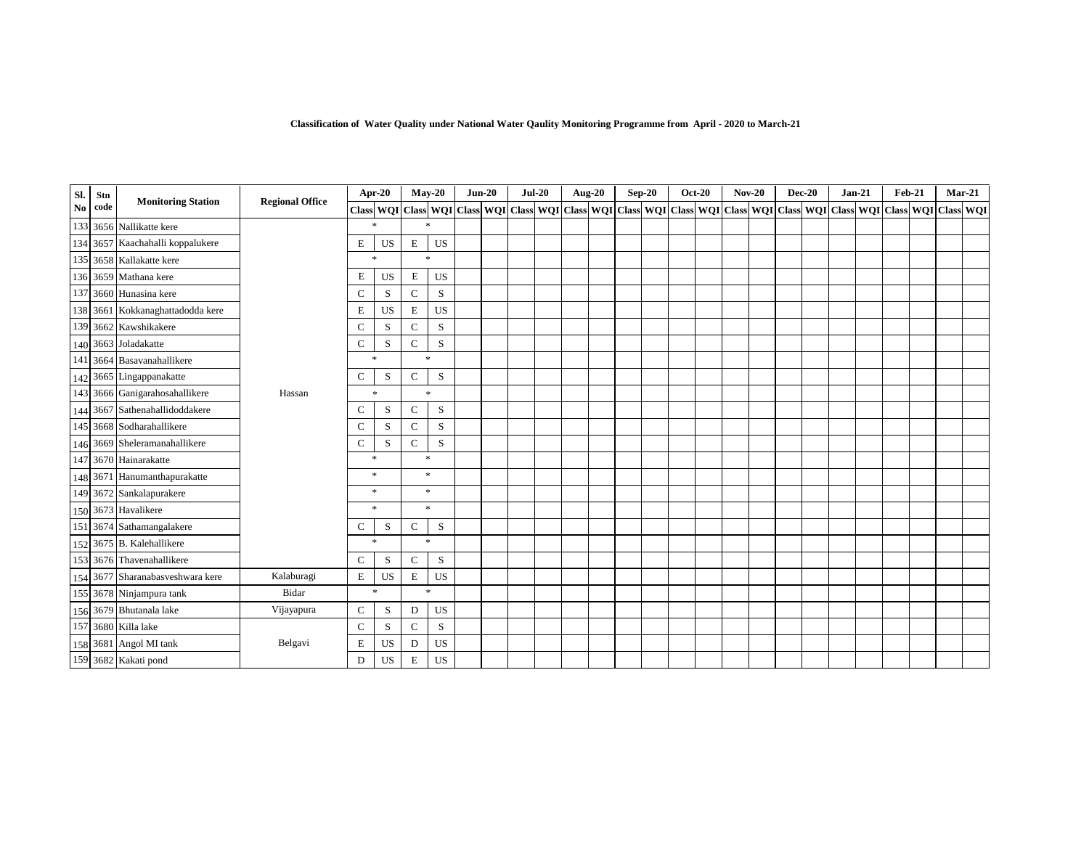| SI.                    | Stn  | <b>Monitoring Station</b>        | <b>Regional Office</b> |              | Apr-20                                                                                                                                                                              |              | $May-20$    | $Jun-20$ | $Jul-20$ |  | <b>Aug-20</b> | $Sep-20$ | <b>Oct-20</b> | $Nov-20$ | <b>Dec-20</b> | $Jan-21$ | <b>Feb-21</b> | $Mar-21$ |  |
|------------------------|------|----------------------------------|------------------------|--------------|-------------------------------------------------------------------------------------------------------------------------------------------------------------------------------------|--------------|-------------|----------|----------|--|---------------|----------|---------------|----------|---------------|----------|---------------|----------|--|
| $\mathbf{N}\mathbf{o}$ | code |                                  |                        |              | Class  WQI   Class  WQI   Class  WQI   Class  WQI   Class  WQI   Class  WQI   Class  WQI   Class  WQI   Class  WQI   Class  WQI   Class  WQI   Class  WQI   Class  WQI   Class  WQI |              |             |          |          |  |               |          |               |          |               |          |               |          |  |
|                        |      | 133 3656 Nallikatte kere         |                        |              | $\mathbf{x}$                                                                                                                                                                        |              | $\ast$      |          |          |  |               |          |               |          |               |          |               |          |  |
|                        |      | 134 3657 Kaachahalli koppalukere |                        | Е            | US                                                                                                                                                                                  | Е            | US          |          |          |  |               |          |               |          |               |          |               |          |  |
|                        |      | 135 3658 Kallakatte kere         |                        |              | $\ast$                                                                                                                                                                              |              | $\ast$      |          |          |  |               |          |               |          |               |          |               |          |  |
|                        |      | 136 3659 Mathana kere            |                        | Е            | US                                                                                                                                                                                  | E            | <b>US</b>   |          |          |  |               |          |               |          |               |          |               |          |  |
|                        |      | 137 3660 Hunasina kere           |                        | $\mathsf{C}$ | S                                                                                                                                                                                   | $\mathbf C$  | S           |          |          |  |               |          |               |          |               |          |               |          |  |
|                        |      | 138 3661 Kokkanaghattadodda kere |                        | E            | US                                                                                                                                                                                  | $\mathbf E$  | <b>US</b>   |          |          |  |               |          |               |          |               |          |               |          |  |
|                        |      | 139 3662 Kawshikakere            |                        | $\mathbf C$  | S                                                                                                                                                                                   | C            | S           |          |          |  |               |          |               |          |               |          |               |          |  |
|                        |      | 140 3663 Joladakatte             |                        | $\mathbf C$  | S                                                                                                                                                                                   | $\mathsf{C}$ | S           |          |          |  |               |          |               |          |               |          |               |          |  |
|                        |      | 141 3664 Basavanahallikere       |                        |              | *                                                                                                                                                                                   |              | 宋           |          |          |  |               |          |               |          |               |          |               |          |  |
|                        |      | 142 3665 Lingappanakatte         |                        | $\mathsf{C}$ | S                                                                                                                                                                                   | $\mathsf{C}$ | $\mathbf S$ |          |          |  |               |          |               |          |               |          |               |          |  |
|                        |      | 143 3666 Ganigarahosahallikere   | Hassan                 |              | $\ast$                                                                                                                                                                              |              | $\ast$      |          |          |  |               |          |               |          |               |          |               |          |  |
|                        |      | 144 3667 Sathenahallidoddakere   |                        | C            | S                                                                                                                                                                                   | $\mathsf{C}$ | S           |          |          |  |               |          |               |          |               |          |               |          |  |
|                        |      | 145 3668 Sodharahallikere        |                        | $\mathsf{C}$ | S                                                                                                                                                                                   | $\mathsf{C}$ | S           |          |          |  |               |          |               |          |               |          |               |          |  |
|                        |      | 146 3669 Sheleramanahallikere    |                        | C            | S                                                                                                                                                                                   | C            | S           |          |          |  |               |          |               |          |               |          |               |          |  |
|                        |      | 147 3670 Hainarakatte            |                        |              | $\ast$                                                                                                                                                                              |              | $\ast$      |          |          |  |               |          |               |          |               |          |               |          |  |
|                        |      | 148 3671 Hanumanthapurakatte     |                        |              | *                                                                                                                                                                                   |              | $\ast$      |          |          |  |               |          |               |          |               |          |               |          |  |
|                        |      | 149 3672 Sankalapurakere         |                        |              | $\ast$                                                                                                                                                                              |              | *           |          |          |  |               |          |               |          |               |          |               |          |  |
|                        |      | 150 3673 Havalikere              |                        |              | $\mathbf{x}$                                                                                                                                                                        |              | $\ast$      |          |          |  |               |          |               |          |               |          |               |          |  |
|                        |      | 151 3674 Sathamangalakere        |                        | C            | S                                                                                                                                                                                   | C            | S           |          |          |  |               |          |               |          |               |          |               |          |  |
|                        |      | 152 3675 B. Kalehallikere        |                        |              | *                                                                                                                                                                                   |              | $\ast$      |          |          |  |               |          |               |          |               |          |               |          |  |
|                        |      | 153 3676 Thavenahallikere        |                        | $\mathsf{C}$ | S                                                                                                                                                                                   | $\mathsf{C}$ | S           |          |          |  |               |          |               |          |               |          |               |          |  |
|                        |      | 154 3677 Sharanabasveshwara kere | Kalaburagi             | Ε            | <b>US</b>                                                                                                                                                                           | E            | US          |          |          |  |               |          |               |          |               |          |               |          |  |
|                        |      | 155 3678 Ninjampura tank         | Bidar                  |              | *                                                                                                                                                                                   |              | $\ast$      |          |          |  |               |          |               |          |               |          |               |          |  |
|                        |      | 156 3679 Bhutanala lake          | Vijayapura             | $\mathbf C$  | S                                                                                                                                                                                   | D            | US          |          |          |  |               |          |               |          |               |          |               |          |  |
|                        |      | 157 3680 Killa lake              |                        | $\mathbf C$  | S                                                                                                                                                                                   | $\mathsf{C}$ | S           |          |          |  |               |          |               |          |               |          |               |          |  |
|                        |      | 158 3681 Angol MI tank           | Belgavi                | E            | US                                                                                                                                                                                  | D            | <b>US</b>   |          |          |  |               |          |               |          |               |          |               |          |  |
|                        |      | 159 3682 Kakati pond             |                        | D            | US                                                                                                                                                                                  | Е            | US          |          |          |  |               |          |               |          |               |          |               |          |  |